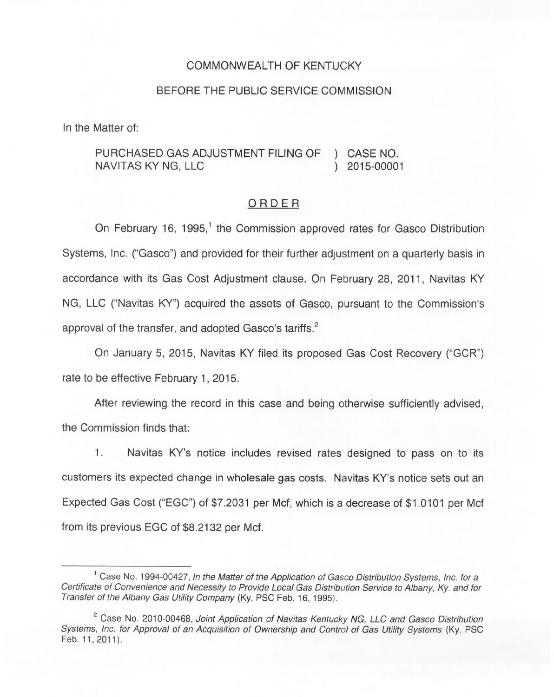### COMMONWEALTH OF KENTUCKY

#### BEFORE THE PUBLIC SERVICE COMMISSION

In the Matter of:

# PURCHASED GAS ADJUSTMENT FILING OF ) CASE NO.<br>NAVITAS KY NG. LLC (1) 2015-00001 NAVITAS KY NG, LLC

#### ORDER

On February 16, 1995,<sup>1</sup> the Commission approved rates for Gasco Distribution Systems, Inc. ("Gasco") and provided for their further adjustment on a quarterly basis in accordance with its Gas Cost Adjustment clause. On February 28, 2011, Navitas KY NG, LLC ("Navitas KY") acquired the assets of Gasco, pursuant to the Commission's approval of the transfer, and adopted Gasco's tariffs.<sup>2</sup>

January 5, 2015, Navitas KY filed its proposed Gas Cost Recovery ("GCR") rate to be effective February 1, 2015.

After reviewing the record in this case and being otherwise sufficiently advised, the Commission finds that:

1. Navitas KY's notice includes revised rates designed to pass on to its customers its expected change in wholesale gas costs. Navitas KY's notice sets out an Expected Gas Cost ("EGC") of \$7.2031 per Mcf, which is a decrease of \$1.0101 per Mcf from its previous EGC of \$8.2132 per Mcf.

<sup>&</sup>lt;sup>1</sup> Case No. 1994-00427, In the Matter of the Application of Gasco Distribution Systems, Inc. for a Certificate of Convenience and Necessity to Provide Local Gas Distribution Service to Albany, Ky. and for Transfer of the Albany Gas Utility Company (Ky. PSC Feb. 16, 1995).

<sup>&</sup>lt;sup>2</sup> Case No. 2010-00468, Joint Application of Navitas Kentucky NG, LLC and Gasco Distribution Systems, Inc. for Approval of an Acquisition of Ownership and Control of Gas Utility Systems (Ky. PSC Feb. 11, 2011).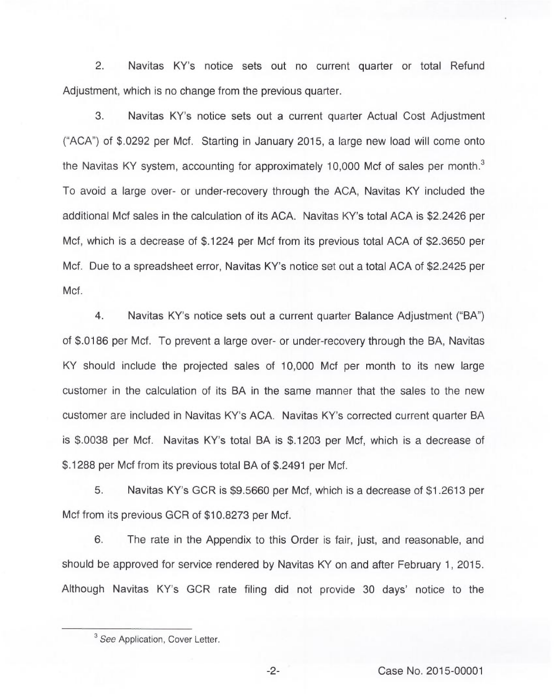$2^{1}$ Navitas KY's notice sets out no current quarter or total Refund Adjustment, which is no change from the previous quarter.

3. Navitas KY's notice sets out a current quarter Actual Cost Adjustment ("ACA") of \$.0292 per Mcf. Starting in January 2015, a large new load will come onto the Navitas KY system, accounting for approximately 10,000 Mcf of sales per month.<sup>3</sup> To avoid a large over- or under-recovery through the ACA, Navitas KY included the additional Mcf sales in the calculation of its ACA. Navitas KY's total ACA is \$2.2426 per Mcf, which is a decrease of \$.1224 per Mcf from its previous total ACA of \$2.3650 per Mcf. Due to a spreadsheet error, Navitas KY's notice set out a total ACA of \$2.2425 per Mcf.

4. Navitas KY's notice sets out a current quarter Balance Adjustment ("BA") of \$.0186 per Mcf. To prevent a large over- or under-recovery through the BA, Navitas KY should include the projected sales of 10,000 Mcf per month to its new large customer in the calculation of its BA in the same manner that the sales to the new customer are included in Navitas KY's ACA. Navitas KY's corrected current quarter BA is \$.0038 per Mcf. Navitas KY's total BA is \$.1203 per Mcf, which is a decrease of \$.1288 per Mcf from its previous total BA of \$.2491 per Mcf.

5. Navitas KY's GCR is \$9.5660 per Mcf, which is a decrease of \$1.2613 per Mcf from its previous GCR of \$10.8273 per Mcf.

6. The rate in the Appendix to this Order is fair, just, and reasonable, and should be approved for service rendered by Navitas KY on and after February 1, 2015. Although Navitas KY's GCR rate filing did not provide 30 days' notice to the

<sup>&</sup>lt;sup>3</sup> See Application, Cover Letter.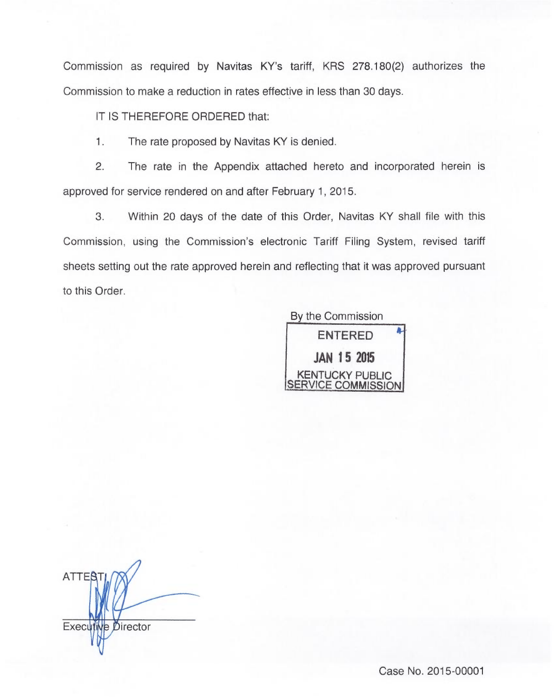Commission as required by Navitas KY's tariff, KRS 278.180(2) authorizes the Commission to make a reduction in rates effective in less than 30 days.

IT IS THEREFORE ORDERED that:

1. The rate proposed by Navitas KY is denied.

2. The rate in the Appendix attached hereto and incorporated herein is approved for service rendered on and after February 1, 2015.

3. Within 20 days of the date of this Order, Navitas KY shall file with this Commission, using the Commission's electronic Tariff Filing System, revised tariff sheets setting out the rate approved herein and reflecting that it was approved pursuant to this Order.

By the Commission



**ATTER** Executive Director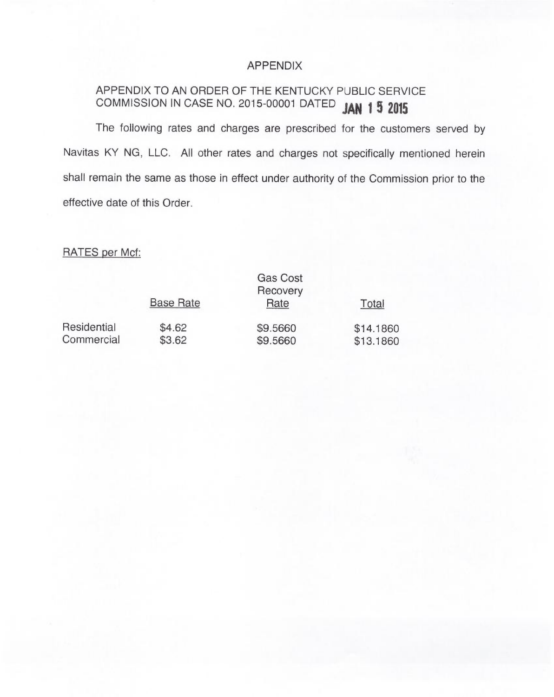## APPENDIX

# APPENDIX TO AN ORDER OF THE KENTUCKY PUBLIC SERVICE COMMISSION IN CASE NO. 2015-00001 DATED JAN 1 5 2015

The following rates and charges are prescribed for the customers served by Navitas KY NG, LLC. All other rates and charges not specifically mentioned herein shall remain the same as those in effect under authority of the Commission prior to the effective date of this Order.

# RATES per Mcf:

|             |                  | <b>Gas Cost</b><br>Recovery |           |
|-------------|------------------|-----------------------------|-----------|
|             | <b>Base Rate</b> | Rate                        | Total     |
| Residential | \$4.62           | \$9.5660                    | \$14.1860 |
| Commercial  | \$3.62           | \$9.5660                    | \$13.1860 |